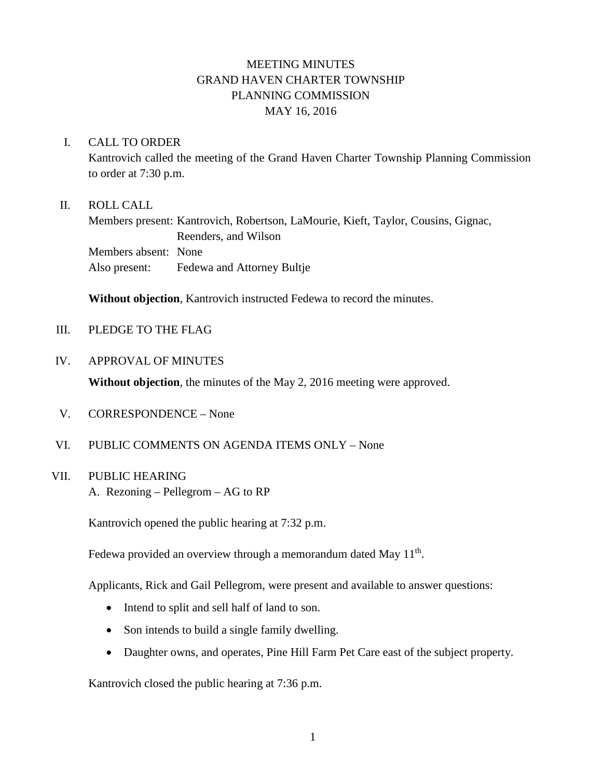# MEETING MINUTES GRAND HAVEN CHARTER TOWNSHIP PLANNING COMMISSION MAY 16, 2016

#### I. CALL TO ORDER

Kantrovich called the meeting of the Grand Haven Charter Township Planning Commission to order at 7:30 p.m.

#### II. ROLL CALL

Members present: Kantrovich, Robertson, LaMourie, Kieft, Taylor, Cousins, Gignac, Reenders, and Wilson Members absent: None Also present: Fedewa and Attorney Bultje

**Without objection**, Kantrovich instructed Fedewa to record the minutes.

III. PLEDGE TO THE FLAG

#### IV. APPROVAL OF MINUTES

**Without objection**, the minutes of the May 2, 2016 meeting were approved.

- V. CORRESPONDENCE None
- VI. PUBLIC COMMENTS ON AGENDA ITEMS ONLY None

# VII. PUBLIC HEARING

A. Rezoning – Pellegrom – AG to RP

Kantrovich opened the public hearing at 7:32 p.m.

Fedewa provided an overview through a memorandum dated May  $11<sup>th</sup>$ .

Applicants, Rick and Gail Pellegrom, were present and available to answer questions:

- Intend to split and sell half of land to son.
- Son intends to build a single family dwelling.
- Daughter owns, and operates, Pine Hill Farm Pet Care east of the subject property.

Kantrovich closed the public hearing at 7:36 p.m.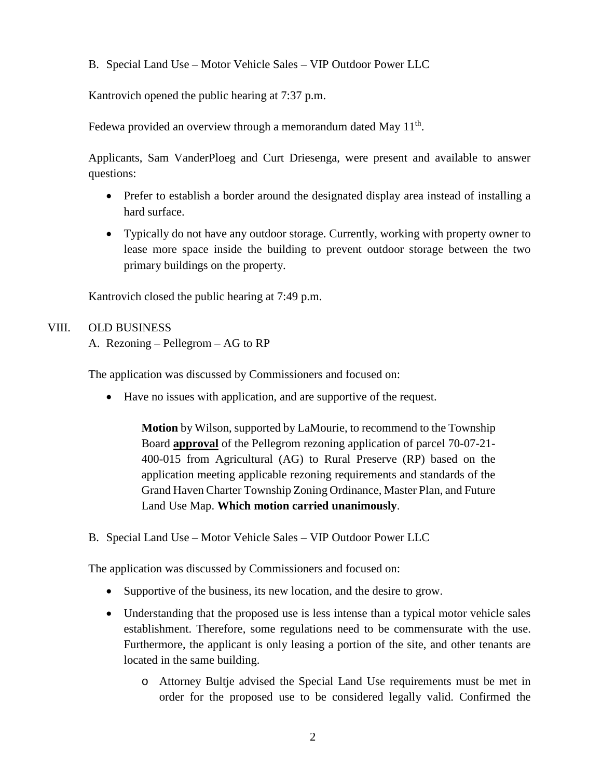B. Special Land Use – Motor Vehicle Sales – VIP Outdoor Power LLC

Kantrovich opened the public hearing at 7:37 p.m.

Fedewa provided an overview through a memorandum dated May  $11<sup>th</sup>$ .

Applicants, Sam VanderPloeg and Curt Driesenga, were present and available to answer questions:

- Prefer to establish a border around the designated display area instead of installing a hard surface.
- Typically do not have any outdoor storage. Currently, working with property owner to lease more space inside the building to prevent outdoor storage between the two primary buildings on the property.

Kantrovich closed the public hearing at 7:49 p.m.

## VIII. OLD BUSINESS

A. Rezoning – Pellegrom – AG to RP

The application was discussed by Commissioners and focused on:

• Have no issues with application, and are supportive of the request.

**Motion** by Wilson, supported by LaMourie, to recommend to the Township Board **approval** of the Pellegrom rezoning application of parcel 70-07-21- 400-015 from Agricultural (AG) to Rural Preserve (RP) based on the application meeting applicable rezoning requirements and standards of the Grand Haven Charter Township Zoning Ordinance, Master Plan, and Future Land Use Map. **Which motion carried unanimously**.

B. Special Land Use – Motor Vehicle Sales – VIP Outdoor Power LLC

The application was discussed by Commissioners and focused on:

- Supportive of the business, its new location, and the desire to grow.
- Understanding that the proposed use is less intense than a typical motor vehicle sales establishment. Therefore, some regulations need to be commensurate with the use. Furthermore, the applicant is only leasing a portion of the site, and other tenants are located in the same building.
	- o Attorney Bultje advised the Special Land Use requirements must be met in order for the proposed use to be considered legally valid. Confirmed the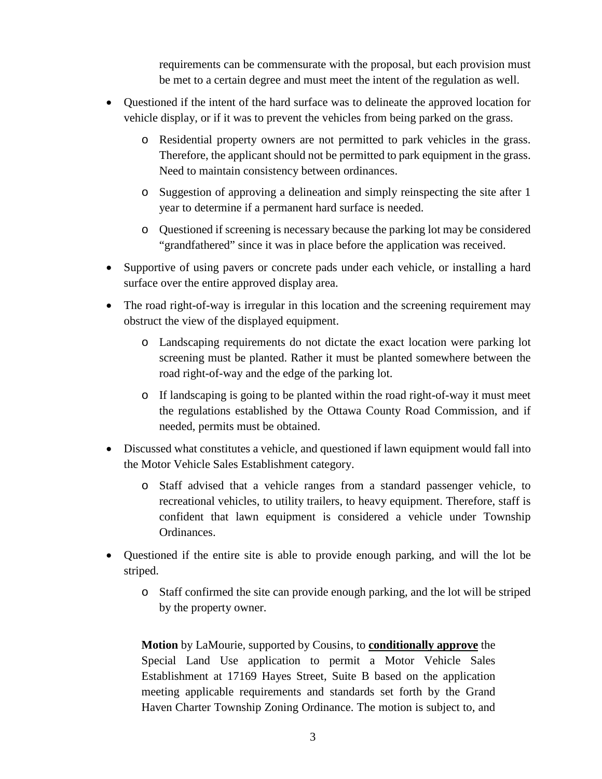requirements can be commensurate with the proposal, but each provision must be met to a certain degree and must meet the intent of the regulation as well.

- Questioned if the intent of the hard surface was to delineate the approved location for vehicle display, or if it was to prevent the vehicles from being parked on the grass.
	- o Residential property owners are not permitted to park vehicles in the grass. Therefore, the applicant should not be permitted to park equipment in the grass. Need to maintain consistency between ordinances.
	- o Suggestion of approving a delineation and simply reinspecting the site after 1 year to determine if a permanent hard surface is needed.
	- o Questioned if screening is necessary because the parking lot may be considered "grandfathered" since it was in place before the application was received.
- Supportive of using pavers or concrete pads under each vehicle, or installing a hard surface over the entire approved display area.
- The road right-of-way is irregular in this location and the screening requirement may obstruct the view of the displayed equipment.
	- o Landscaping requirements do not dictate the exact location were parking lot screening must be planted. Rather it must be planted somewhere between the road right-of-way and the edge of the parking lot.
	- o If landscaping is going to be planted within the road right-of-way it must meet the regulations established by the Ottawa County Road Commission, and if needed, permits must be obtained.
- Discussed what constitutes a vehicle, and questioned if lawn equipment would fall into the Motor Vehicle Sales Establishment category.
	- o Staff advised that a vehicle ranges from a standard passenger vehicle, to recreational vehicles, to utility trailers, to heavy equipment. Therefore, staff is confident that lawn equipment is considered a vehicle under Township Ordinances.
- Questioned if the entire site is able to provide enough parking, and will the lot be striped.
	- o Staff confirmed the site can provide enough parking, and the lot will be striped by the property owner.

**Motion** by LaMourie, supported by Cousins, to **conditionally approve** the Special Land Use application to permit a Motor Vehicle Sales Establishment at 17169 Hayes Street, Suite B based on the application meeting applicable requirements and standards set forth by the Grand Haven Charter Township Zoning Ordinance. The motion is subject to, and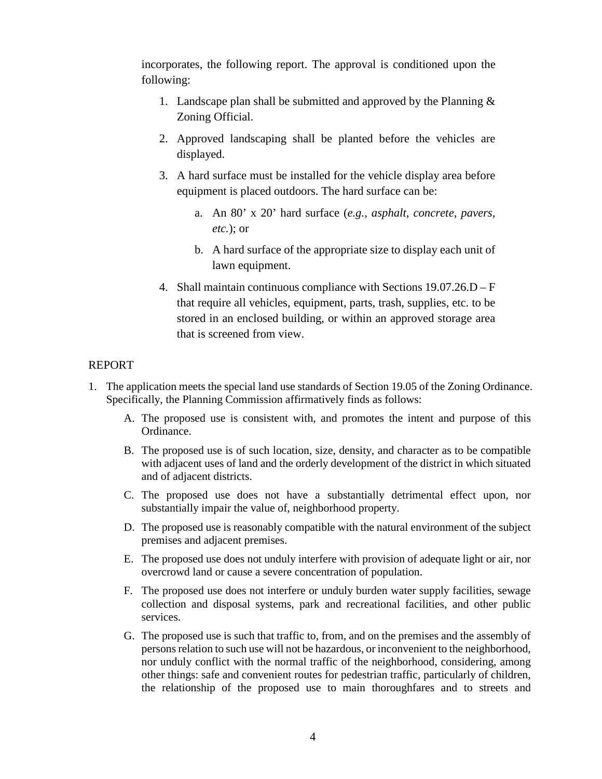incorporates, the following report. The approval is conditioned upon the following:

- 1. Landscape plan shall be submitted and approved by the Planning & Zoning Official.
- 2. Approved landscaping shall be planted before the vehicles are displayed.
- 3. A hard surface must be installed for the vehicle display area before equipment is placed outdoors. The hard surface can be:
	- a. An 80' x 20' hard surface (*e.g., asphalt, concrete, pavers, etc.*); or
	- b. A hard surface of the appropriate size to display each unit of lawn equipment.
- 4. Shall maintain continuous compliance with Sections 19.07.26.D F that require all vehicles, equipment, parts, trash, supplies, etc. to be stored in an enclosed building, or within an approved storage area that is screened from view.

## REPORT

- 1. The application meets the special land use standards of Section 19.05 of the Zoning Ordinance. Specifically, the Planning Commission affirmatively finds as follows:
	- A. The proposed use is consistent with, and promotes the intent and purpose of this Ordinance.
	- B. The proposed use is of such location, size, density, and character as to be compatible with adjacent uses of land and the orderly development of the district in which situated and of adjacent districts.
	- C. The proposed use does not have a substantially detrimental effect upon, nor substantially impair the value of, neighborhood property.
	- D. The proposed use is reasonably compatible with the natural environment of the subject premises and adjacent premises.
	- E. The proposed use does not unduly interfere with provision of adequate light or air, nor overcrowd land or cause a severe concentration of population.
	- F. The proposed use does not interfere or unduly burden water supply facilities, sewage collection and disposal systems, park and recreational facilities, and other public services.
	- G. The proposed use is such that traffic to, from, and on the premises and the assembly of persons relation to such use will not be hazardous, or inconvenient to the neighborhood, nor unduly conflict with the normal traffic of the neighborhood, considering, among other things: safe and convenient routes for pedestrian traffic, particularly of children, the relationship of the proposed use to main thoroughfares and to streets and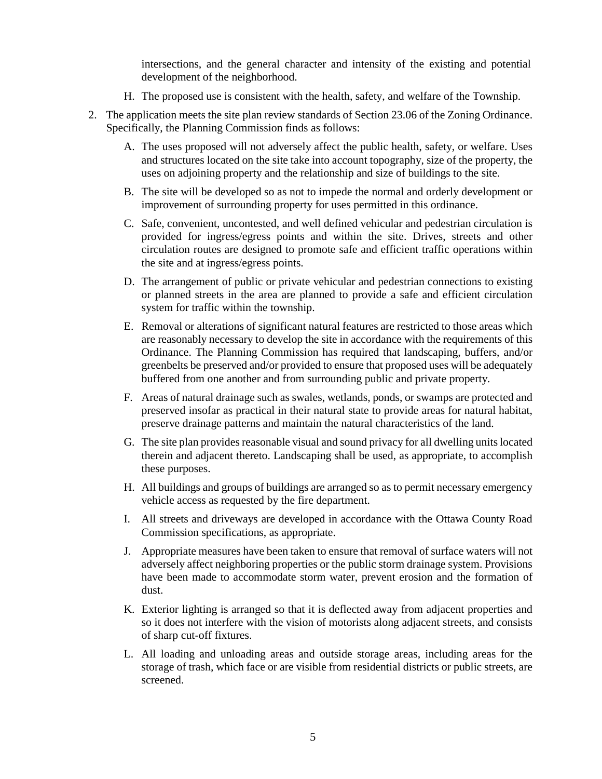intersections, and the general character and intensity of the existing and potential development of the neighborhood.

- H. The proposed use is consistent with the health, safety, and welfare of the Township.
- 2. The application meets the site plan review standards of Section 23.06 of the Zoning Ordinance. Specifically, the Planning Commission finds as follows:
	- A. The uses proposed will not adversely affect the public health, safety, or welfare. Uses and structures located on the site take into account topography, size of the property, the uses on adjoining property and the relationship and size of buildings to the site.
	- B. The site will be developed so as not to impede the normal and orderly development or improvement of surrounding property for uses permitted in this ordinance.
	- C. Safe, convenient, uncontested, and well defined vehicular and pedestrian circulation is provided for ingress/egress points and within the site. Drives, streets and other circulation routes are designed to promote safe and efficient traffic operations within the site and at ingress/egress points.
	- D. The arrangement of public or private vehicular and pedestrian connections to existing or planned streets in the area are planned to provide a safe and efficient circulation system for traffic within the township.
	- E. Removal or alterations of significant natural features are restricted to those areas which are reasonably necessary to develop the site in accordance with the requirements of this Ordinance. The Planning Commission has required that landscaping, buffers, and/or greenbelts be preserved and/or provided to ensure that proposed uses will be adequately buffered from one another and from surrounding public and private property.
	- F. Areas of natural drainage such as swales, wetlands, ponds, or swamps are protected and preserved insofar as practical in their natural state to provide areas for natural habitat, preserve drainage patterns and maintain the natural characteristics of the land.
	- G. The site plan provides reasonable visual and sound privacy for all dwelling units located therein and adjacent thereto. Landscaping shall be used, as appropriate, to accomplish these purposes.
	- H. All buildings and groups of buildings are arranged so as to permit necessary emergency vehicle access as requested by the fire department.
	- I. All streets and driveways are developed in accordance with the Ottawa County Road Commission specifications, as appropriate.
	- J. Appropriate measures have been taken to ensure that removal of surface waters will not adversely affect neighboring properties or the public storm drainage system. Provisions have been made to accommodate storm water, prevent erosion and the formation of dust.
	- K. Exterior lighting is arranged so that it is deflected away from adjacent properties and so it does not interfere with the vision of motorists along adjacent streets, and consists of sharp cut-off fixtures.
	- L. All loading and unloading areas and outside storage areas, including areas for the storage of trash, which face or are visible from residential districts or public streets, are screened.